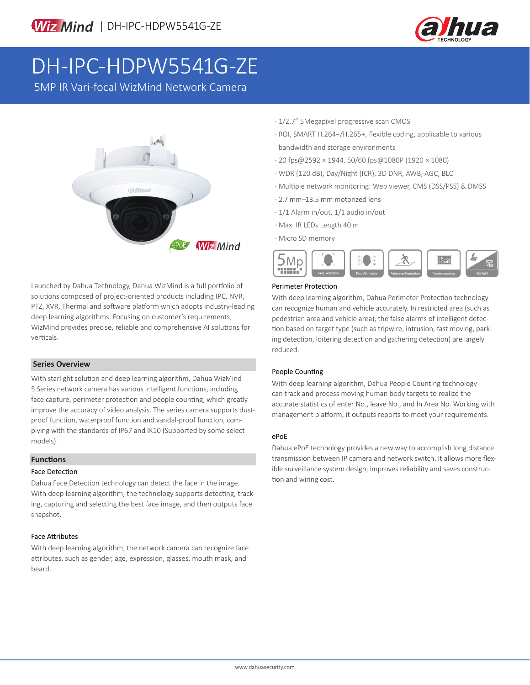

# DH-IPC-HDPW5541G-ZE

5MP IR Vari-focal WizMind Network Camera



Launched by Dahua Technology, Dahua WizMind is a full portfolio of solutions composed of project-oriented products including IPC, NVR, PTZ, XVR, Thermal and software platform which adopts industry-leading deep learning algorithms. Focusing on customer's requirements, WizMind provides precise, reliable and comprehensive AI solutions for verticals.

### **Series Overview**

With starlight solution and deep learning algorithm, Dahua WizMind 5 Series network camera has various intelligent functions, including face capture, perimeter protection and people counting, which greatly improve the accuracy of video analysis. The series camera supports dustproof function, waterproof function and vandal-proof function, complying with the standards of IP67 and IK10 (Supported by some select models).

### **Functions**

### Face Detection

Dahua Face Detection technology can detect the face in the image. With deep learning algorithm, the technology supports detecting, tracking, capturing and selecting the best face image, and then outputs face snapshot.

### Face Attributes

With deep learning algorithm, the network camera can recognize face attributes, such as gender, age, expression, glasses, mouth mask, and beard.

- · 1/2.7" 5Megapixel progressive scan CMOS
- · ROI, SMART H.264+/H.265+, flexible coding, applicable to various bandwidth and storage environments
- · 20 fps@2592 × 1944, 50/60 fps@1080P (1920 × 1080)
- · WDR (120 dB), Day/Night (ICR), 3D DNR, AWB, AGC, BLC
- · Multiple network monitoring: Web viewer, CMS (DSS/PSS) & DMSS
- · 2.7 mm–13.5 mm motorized lens
- · 1/1 Alarm in/out, 1/1 audio in/out
- · Max. IR LEDs Length 40 m
- · Micro SD memory



### Perimeter Protection

With deep learning algorithm, Dahua Perimeter Protection technology can recognize human and vehicle accurately. In restricted area (such as pedestrian area and vehicle area), the false alarms of intelligent detection based on target type (such as tripwire, intrusion, fast moving, parking detection, loitering detection and gathering detection) are largely reduced.

### People Counting

With deep learning algorithm, Dahua People Counting technology can track and process moving human body targets to realize the accurate statistics of enter No., leave No., and In Area No. Working with management platform, it outputs reports to meet your requirements.

### ePoE

Dahua ePoE technology provides a new way to accomplish long distance transmission between IP camera and network switch. It allows more flexible surveillance system design, improves reliability and saves construction and wiring cost.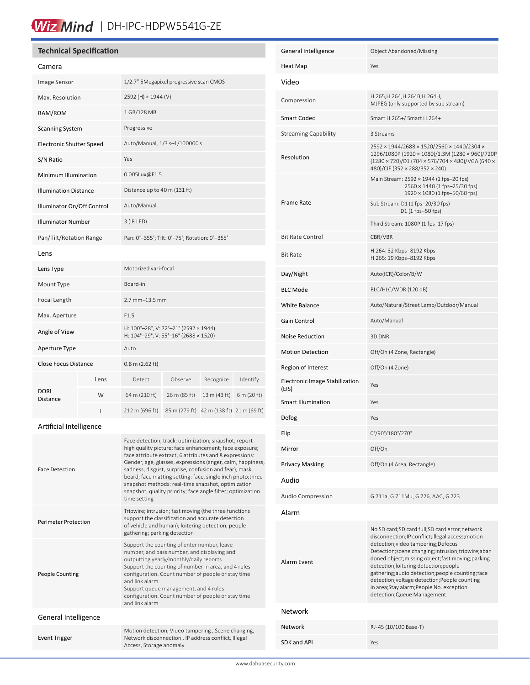### Wiz Mind | DH-IPC-HDPW5541G-ZE

### **Technical Specification**

| Camera                          |      |                                                                                |              |                                          |             |
|---------------------------------|------|--------------------------------------------------------------------------------|--------------|------------------------------------------|-------------|
| <b>Image Sensor</b>             |      | 1/2.7" 5Megapixel progressive scan CMOS                                        |              |                                          |             |
| Max. Resolution                 |      | 2592 (H) × 1944 (V)                                                            |              |                                          |             |
| RAM/ROM                         |      | 1 GB/128 MB                                                                    |              |                                          |             |
| <b>Scanning System</b>          |      | Progressive                                                                    |              |                                          |             |
| <b>Electronic Shutter Speed</b> |      | Auto/Manual, 1/3 s-1/100000 s                                                  |              |                                          |             |
| S/N Ratio                       |      | Yes                                                                            |              |                                          |             |
| Minimum Illumination            |      | 0.005Lux@F1.5                                                                  |              |                                          |             |
| <b>Illumination Distance</b>    |      | Distance up to 40 m (131 ft)                                                   |              |                                          |             |
| Illuminator On/Off Control      |      | Auto/Manual                                                                    |              |                                          |             |
| <b>Illuminator Number</b>       |      | $3$ (IR LED)                                                                   |              |                                          |             |
| Pan/Tilt/Rotation Range         |      | Pan: 0°-355°; Tilt: 0°-75°; Rotation: 0°-355°                                  |              |                                          |             |
| Lens                            |      |                                                                                |              |                                          |             |
| Lens Type                       |      | Motorized vari-focal                                                           |              |                                          |             |
| Mount Type                      |      | Board-in                                                                       |              |                                          |             |
| Focal Length                    |      | 2.7 mm-13.5 mm                                                                 |              |                                          |             |
| Max. Aperture                   |      | F1.5                                                                           |              |                                          |             |
| Angle of View                   |      | H: 100°-28°, V: 72°-21° (2592 × 1944)<br>H: 104°-29°, V: 55°-16° (2688 × 1520) |              |                                          |             |
| Aperture Type                   |      | Auto                                                                           |              |                                          |             |
| <b>Close Focus Distance</b>     |      | $0.8$ m (2.62 ft)                                                              |              |                                          |             |
| <b>DORI</b><br>Distance         | Lens | <b>Detect</b>                                                                  | Observe      | Recognize                                | Identify    |
|                                 | W    | 64 m (210 ft)                                                                  | 26 m (85 ft) | 13 m (43 ft)                             | 6 m (20 ft) |
|                                 | Т    | 212 m (696 ft)                                                                 |              | 85 m (279 ft) 42 m (138 ft) 21 m (69 ft) |             |
|                                 |      |                                                                                |              |                                          |             |

### Artificial Intelligence

| <b>Face Detection</b>       | Face detection; track; optimization; snapshot; report<br>high quality picture; face enhancement; face exposure;<br>face attribute extract, 6 attributes and 8 expressions:<br>Gender, age, glasses, expressions (anger, calm, happiness,<br>sadness, disgust, surprise, confusion and fear), mask,<br>beard; face matting setting: face, single inch photo; three<br>snapshot methods: real-time snapshot, optimization<br>snapshot, quality priority; face angle filter; optimization<br>time setting |
|-----------------------------|--------------------------------------------------------------------------------------------------------------------------------------------------------------------------------------------------------------------------------------------------------------------------------------------------------------------------------------------------------------------------------------------------------------------------------------------------------------------------------------------------------|
| <b>Perimeter Protection</b> | Tripwire; intrusion; fast moving (the three functions<br>support the classification and accurate detection<br>of vehicle and human); loitering detection; people<br>gathering; parking detection                                                                                                                                                                                                                                                                                                       |
| <b>People Counting</b>      | Support the counting of enter number, leave<br>number, and pass number, and displaying and<br>outputting yearly/monthly/daily reports.<br>Support the counting of number in area, and 4 rules<br>configuration. Count number of people or stay time<br>and link alarm<br>Support queue management, and 4 rules<br>configuration. Count number of people or stay time<br>and link alarm                                                                                                                 |
| General Intelligence        |                                                                                                                                                                                                                                                                                                                                                                                                                                                                                                        |
| <b>Event Trigger</b>        | Motion detection, Video tampering, Scene changing,<br>Network disconnection, IP address conflict, Illegal<br>Access, Storage anomaly                                                                                                                                                                                                                                                                                                                                                                   |

| General Intelligence                           | Object Abandoned/Missing                                                                                                                                                                                                                                                                                                                                                                                                                                                      |  |  |  |
|------------------------------------------------|-------------------------------------------------------------------------------------------------------------------------------------------------------------------------------------------------------------------------------------------------------------------------------------------------------------------------------------------------------------------------------------------------------------------------------------------------------------------------------|--|--|--|
| Heat Map                                       | Yes                                                                                                                                                                                                                                                                                                                                                                                                                                                                           |  |  |  |
| Video                                          |                                                                                                                                                                                                                                                                                                                                                                                                                                                                               |  |  |  |
| Compression                                    | H.265, H.264, H.264B, H.264H,<br>MJPEG (only supported by sub stream)                                                                                                                                                                                                                                                                                                                                                                                                         |  |  |  |
| <b>Smart Codec</b>                             | Smart H.265+/ Smart H.264+                                                                                                                                                                                                                                                                                                                                                                                                                                                    |  |  |  |
| <b>Streaming Capability</b>                    | 3 Streams                                                                                                                                                                                                                                                                                                                                                                                                                                                                     |  |  |  |
| Resolution                                     | 2592 × 1944/2688 × 1520/2560 × 1440/2304 ×<br>1296/1080P (1920 × 1080)/1.3M (1280 × 960)/720P<br>(1280 × 720)/D1 (704 × 576/704 × 480)/VGA (640 ×<br>480)/CIF (352 × 288/352 × 240)                                                                                                                                                                                                                                                                                           |  |  |  |
|                                                | Main Stream: 2592 × 1944 (1 fps-20 fps)<br>2560 × 1440 (1 fps-25/30 fps)<br>1920 × 1080 (1 fps-50/60 fps)                                                                                                                                                                                                                                                                                                                                                                     |  |  |  |
| <b>Frame Rate</b>                              | Sub Stream: D1 (1 fps-20/30 fps)<br>D1 (1 fps-50 fps)                                                                                                                                                                                                                                                                                                                                                                                                                         |  |  |  |
|                                                | Third Stream: 1080P (1 fps-17 fps)                                                                                                                                                                                                                                                                                                                                                                                                                                            |  |  |  |
| <b>Bit Rate Control</b>                        | CBR/VBR                                                                                                                                                                                                                                                                                                                                                                                                                                                                       |  |  |  |
| <b>Bit Rate</b>                                | H.264: 32 Kbps-8192 Kbps<br>H.265: 19 Kbps-8192 Kbps                                                                                                                                                                                                                                                                                                                                                                                                                          |  |  |  |
| Day/Night                                      | Auto(ICR)/Color/B/W                                                                                                                                                                                                                                                                                                                                                                                                                                                           |  |  |  |
| <b>BLC Mode</b>                                | BLC/HLC/WDR (120 dB)                                                                                                                                                                                                                                                                                                                                                                                                                                                          |  |  |  |
| <b>White Balance</b>                           | Auto/Natural/Street Lamp/Outdoor/Manual                                                                                                                                                                                                                                                                                                                                                                                                                                       |  |  |  |
| Gain Control                                   | Auto/Manual                                                                                                                                                                                                                                                                                                                                                                                                                                                                   |  |  |  |
| <b>Noise Reduction</b>                         | 3D DNR                                                                                                                                                                                                                                                                                                                                                                                                                                                                        |  |  |  |
| <b>Motion Detection</b>                        | Off/On (4 Zone, Rectangle)                                                                                                                                                                                                                                                                                                                                                                                                                                                    |  |  |  |
| Region of Interest                             | Off/On (4 Zone)                                                                                                                                                                                                                                                                                                                                                                                                                                                               |  |  |  |
| <b>Electronic Image Stabilization</b><br>(EIS) | Yes                                                                                                                                                                                                                                                                                                                                                                                                                                                                           |  |  |  |
| <b>Smart Illumination</b>                      | Yes                                                                                                                                                                                                                                                                                                                                                                                                                                                                           |  |  |  |
| Defog                                          | Yes                                                                                                                                                                                                                                                                                                                                                                                                                                                                           |  |  |  |
| Hip                                            | 0°/90°/180°/270°                                                                                                                                                                                                                                                                                                                                                                                                                                                              |  |  |  |
| Mirror                                         | Off/On                                                                                                                                                                                                                                                                                                                                                                                                                                                                        |  |  |  |
| Privacy Masking                                | Off/On (4 Area, Rectangle)                                                                                                                                                                                                                                                                                                                                                                                                                                                    |  |  |  |
| Audio                                          |                                                                                                                                                                                                                                                                                                                                                                                                                                                                               |  |  |  |
| <b>Audio Compression</b>                       | G.711a, G.711Mu, G.726, AAC, G.723                                                                                                                                                                                                                                                                                                                                                                                                                                            |  |  |  |
| Alarm                                          |                                                                                                                                                                                                                                                                                                                                                                                                                                                                               |  |  |  |
| <b>Alarm Event</b>                             | No SD card;SD card full;SD card error;network<br>disconnection; IP conflict; illegal access; motion<br>detection; video tampering; Defocus<br>Detection; scene changing; intrusion; tripwire; aban<br>doned object; missing object; fast moving; parking<br>detection;loitering detection;people<br>gathering;audio detection;people counting;face<br>detection; voltage detection; People counting<br>in area;Stay alarm;People No. exception<br>detection; Queue Management |  |  |  |
| Network                                        |                                                                                                                                                                                                                                                                                                                                                                                                                                                                               |  |  |  |
| Network                                        | RJ-45 (10/100 Base-T)                                                                                                                                                                                                                                                                                                                                                                                                                                                         |  |  |  |
| SDK and API                                    | Yes                                                                                                                                                                                                                                                                                                                                                                                                                                                                           |  |  |  |